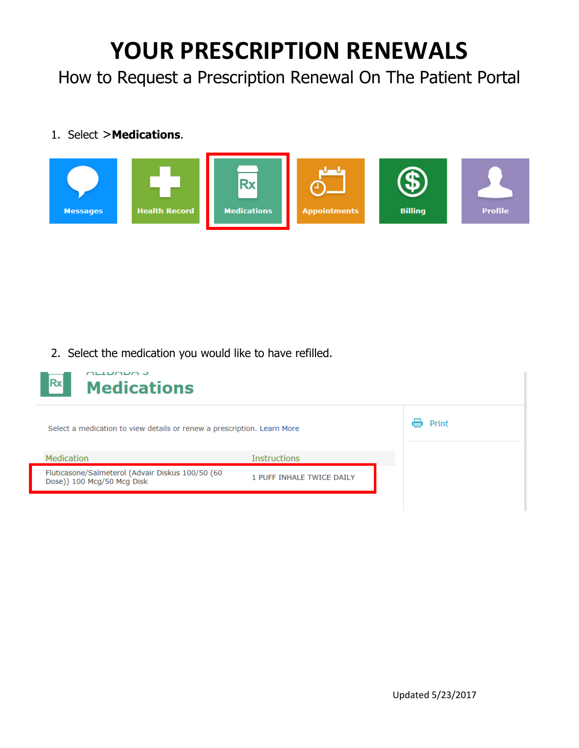## **YOUR PRESCRIPTION RENEWALS**

How to Request a Prescription Renewal On The Patient Portal

1. Select >**Medications**.



2. Select the medication you would like to have refilled.

| Rx                         | nuunun a<br><b>Medications</b>                                          |                           |       |
|----------------------------|-------------------------------------------------------------------------|---------------------------|-------|
|                            | Select a medication to view details or renew a prescription. Learn More |                           | Print |
| Medication                 |                                                                         | <b>Instructions</b>       |       |
| Dose)) 100 Mcg/50 Mcg Disk | Fluticasone/Salmeterol (Advair Diskus 100/50 (60                        | 1 PUFF INHALE TWICE DAILY |       |
|                            |                                                                         |                           |       |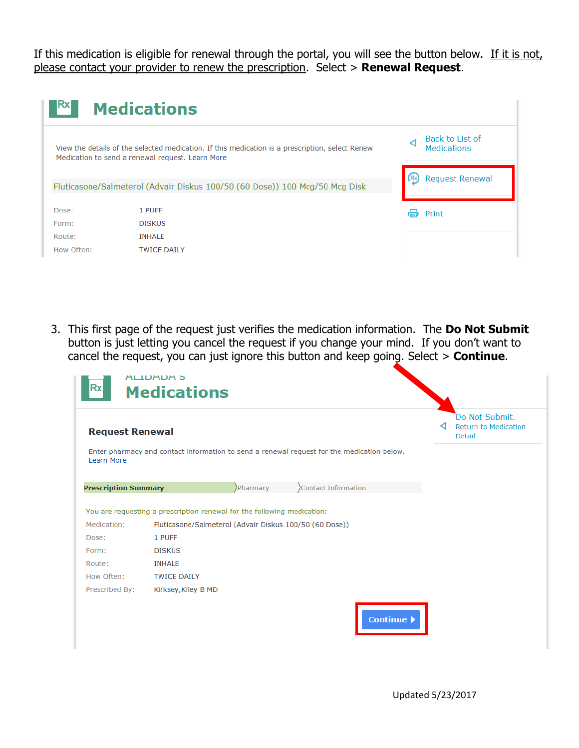If this medication is eligible for renewal through the portal, you will see the button below. If it is not, please contact your provider to renew the prescription. Select > **Renewal Request**.

| IRX        | <b>Medications</b>                                                                                                                                  |                                       |
|------------|-----------------------------------------------------------------------------------------------------------------------------------------------------|---------------------------------------|
|            | View the details of the selected medication. If this medication is a prescription, select Renew<br>Medication to send a renewal request. Learn More | Back to List of<br><b>Medications</b> |
|            | Fluticasone/Salmeterol (Advair Diskus 100/50 (60 Dose)) 100 Mcg/50 Mcg Disk                                                                         | <b>Request Renewal</b>                |
|            |                                                                                                                                                     |                                       |
| Dose:      | 1 PUFF                                                                                                                                              | Print                                 |
| Form:      | <b>DISKUS</b>                                                                                                                                       |                                       |
| Route:     | <b>INHALE</b>                                                                                                                                       |                                       |
| How Often: | <b>TWICE DAILY</b>                                                                                                                                  |                                       |

3. This first page of the request just verifies the medication information. The **Do Not Submit** button is just letting you cancel the request if you change your mind. If you don't want to cancel the request, you can just ignore this button and keep going. Select > **Continue**.

| <b>Request Renewal</b>      |                                                                                                                                    |          |                                                                                            | Do Not Submit.<br>⊲<br><b>Return to Medication</b><br>Detail |
|-----------------------------|------------------------------------------------------------------------------------------------------------------------------------|----------|--------------------------------------------------------------------------------------------|--------------------------------------------------------------|
| Learn More                  |                                                                                                                                    |          | Enter pharmacy and contact information to send a renewal request for the medication below. |                                                              |
| <b>Prescription Summary</b> |                                                                                                                                    | Pharmacy | Contact Information                                                                        |                                                              |
| Medication:                 | You are requesting a prescription renewal for the following medication:<br>Fluticasone/Salmeterol (Advair Diskus 100/50 (60 Dose)) |          |                                                                                            |                                                              |
| Dose:                       | 1 PUFF                                                                                                                             |          |                                                                                            |                                                              |
| Form:<br>Route:             | <b>DISKUS</b><br><b>INHALE</b>                                                                                                     |          |                                                                                            |                                                              |
|                             | <b>TWICE DAILY</b>                                                                                                                 |          |                                                                                            |                                                              |
| How Often:                  |                                                                                                                                    |          |                                                                                            |                                                              |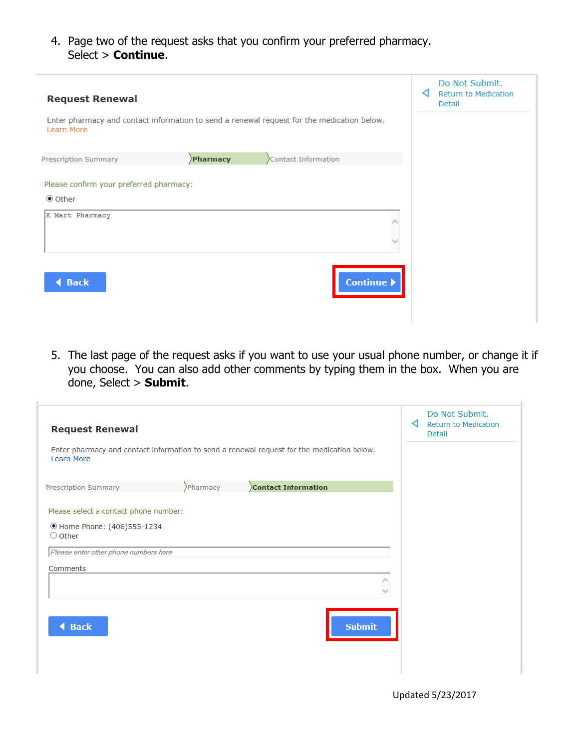4. Page two of the request asks that you confirm your preferred pharmacy. Select > **Continue**.

| <b>Request Renewal</b>                                                                                   |          |                     | ⊲ | Do Not Submit.<br><b>Return to Medication</b><br>Detail |
|----------------------------------------------------------------------------------------------------------|----------|---------------------|---|---------------------------------------------------------|
| Enter pharmacy and contact information to send a renewal request for the medication below.<br>Learn More |          |                     |   |                                                         |
| <b>Prescription Summary</b>                                                                              | Pharmacy | Contact Information |   |                                                         |
| Please confirm your preferred pharmacy:<br>$\bullet$ Other<br>K Mart Pharmacy                            |          |                     |   |                                                         |
| <b>Back</b>                                                                                              |          | Continue >          |   |                                                         |

5. The last page of the request asks if you want to use your usual phone number, or change it if you choose. You can also add other comments by typing them in the box. When you are done, Select > **Submit**.

| <b>Request Renewal</b>                                                                                   | ⊲ | Do Not Submit.<br><b>Return to Medication</b><br>Detail |
|----------------------------------------------------------------------------------------------------------|---|---------------------------------------------------------|
| Enter pharmacy and contact information to send a renewal request for the medication below.<br>Learn More |   |                                                         |
| Contact Information<br><b>Prescription Summary</b><br>Pharmacy                                           |   |                                                         |
| Please select a contact phone number:                                                                    |   |                                                         |
| ● Home Phone: (406)555-1234<br>$\bigcirc$ Other                                                          |   |                                                         |
| Please enter other phone numbers here                                                                    |   |                                                         |
| Comments                                                                                                 |   |                                                         |
|                                                                                                          |   |                                                         |
| <b>Submit</b><br><b>◀ Back</b>                                                                           |   |                                                         |
|                                                                                                          |   |                                                         |